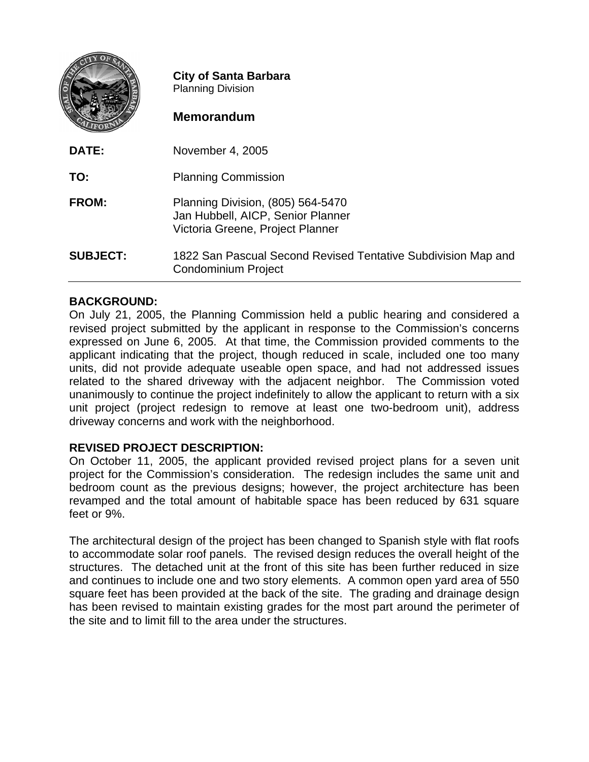|                 | <b>City of Santa Barbara</b><br><b>Planning Division</b><br><b>Memorandum</b>                              |
|-----------------|------------------------------------------------------------------------------------------------------------|
| DATE:           | November 4, 2005                                                                                           |
| TO:             | <b>Planning Commission</b>                                                                                 |
| <b>FROM:</b>    | Planning Division, (805) 564-5470<br>Jan Hubbell, AICP, Senior Planner<br>Victoria Greene, Project Planner |
| <b>SUBJECT:</b> | 1822 San Pascual Second Revised Tentative Subdivision Map and<br>Condominium Project                       |

# **BACKGROUND:**

On July 21, 2005, the Planning Commission held a public hearing and considered a revised project submitted by the applicant in response to the Commission's concerns expressed on June 6, 2005. At that time, the Commission provided comments to the applicant indicating that the project, though reduced in scale, included one too many units, did not provide adequate useable open space, and had not addressed issues related to the shared driveway with the adjacent neighbor. The Commission voted unanimously to continue the project indefinitely to allow the applicant to return with a six unit project (project redesign to remove at least one two-bedroom unit), address driveway concerns and work with the neighborhood.

# **REVISED PROJECT DESCRIPTION:**

On October 11, 2005, the applicant provided revised project plans for a seven unit project for the Commission's consideration. The redesign includes the same unit and bedroom count as the previous designs; however, the project architecture has been revamped and the total amount of habitable space has been reduced by 631 square feet or 9%.

The architectural design of the project has been changed to Spanish style with flat roofs to accommodate solar roof panels. The revised design reduces the overall height of the structures. The detached unit at the front of this site has been further reduced in size and continues to include one and two story elements. A common open yard area of 550 square feet has been provided at the back of the site. The grading and drainage design has been revised to maintain existing grades for the most part around the perimeter of the site and to limit fill to the area under the structures.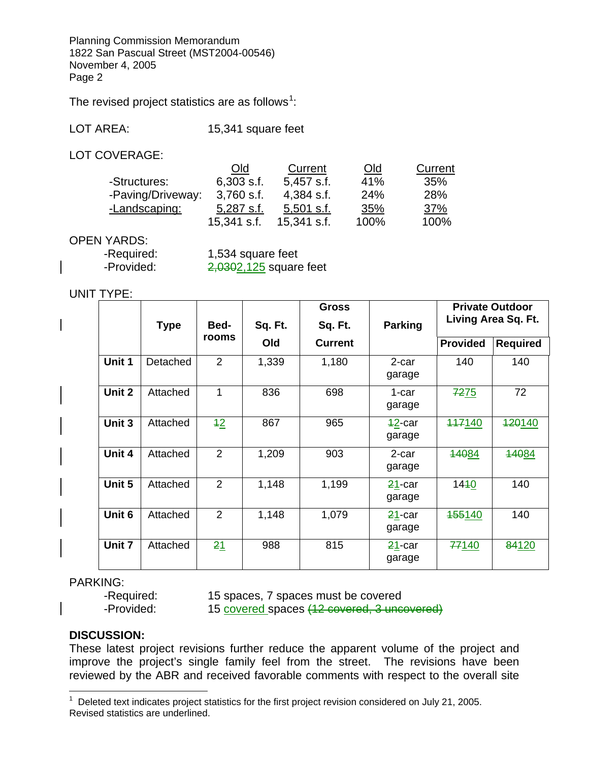Planning Commission Memorandum 1822 San Pascual Street (MST2004-00546) November 4, 2005 Page 2

The revised project statistics are as follows<sup>[1](#page-1-0)</sup>:

LOT AREA: 15,341 square feet

LOT COVERAGE:

|                   | Old          | Current       | <u>Old</u> | Current    |
|-------------------|--------------|---------------|------------|------------|
| -Structures:      | $6,303$ s.f. | $5,457$ s.f.  | 41%        | 35%        |
| -Paving/Driveway: | $3,760$ s.f. | 4,384 s.f.    | 24%        | 28%        |
| -Landscaping:     | $5,287$ s.f. | $5,501$ s.f.  | 35%        | <u>37%</u> |
|                   | 15,341 s.f.  | $15,341$ s.f. | 100%       | 100%       |

## OPEN YARDS:

| -Required: | 1,534 square feet        |
|------------|--------------------------|
| -Provided: | $2,0302,125$ square feet |

## UNIT TYPE:

|        |             |       |         | <b>Gross</b> |                     |                     | <b>Private Outdoor</b> |                 |
|--------|-------------|-------|---------|--------------|---------------------|---------------------|------------------------|-----------------|
|        | <b>Type</b> | Bed-  | Sq. Ft. | Sq. Ft.      | <b>Parking</b>      | Living Area Sq. Ft. |                        |                 |
|        |             | rooms |         | Old          | <b>Current</b>      |                     | <b>Provided</b>        | <b>Required</b> |
| Unit 1 | Detached    | 2     | 1,339   | 1,180        | 2-car<br>garage     | 140                 | 140                    |                 |
| Unit 2 | Attached    | 1     | 836     | 698          | 1-car<br>garage     | <b>7275</b>         | 72                     |                 |
| Unit 3 | Attached    | $+2$  | 867     | 965          | $42$ -car<br>garage | 447140              | <del>120</del> 140     |                 |
| Unit 4 | Attached    | 2     | 1,209   | 903          | 2-car<br>garage     | 14084               | 14084                  |                 |
| Unit 5 | Attached    | 2     | 1,148   | 1,199        | $21$ -car<br>garage | 1440                | 140                    |                 |
| Unit 6 | Attached    | 2     | 1,148   | 1,079        | $21$ -car<br>garage | <b>455140</b>       | 140                    |                 |
| Unit 7 | Attached    | 21    | 988     | 815          | $21$ -car<br>garage | 77140               | 84120                  |                 |

# PARKING:

-Required: 15 spaces, 7 spaces must be covered -Provided: 15 covered spaces (12 covered, 3 uncovered)

# **DISCUSSION:**

 $\overline{a}$ 

These latest project revisions further reduce the apparent volume of the project and improve the project's single family feel from the street. The revisions have been reviewed by the ABR and received favorable comments with respect to the overall site

<span id="page-1-0"></span><sup>&</sup>lt;sup>1</sup> Deleted text indicates project statistics for the first project revision considered on July 21, 2005. Revised statistics are underlined.